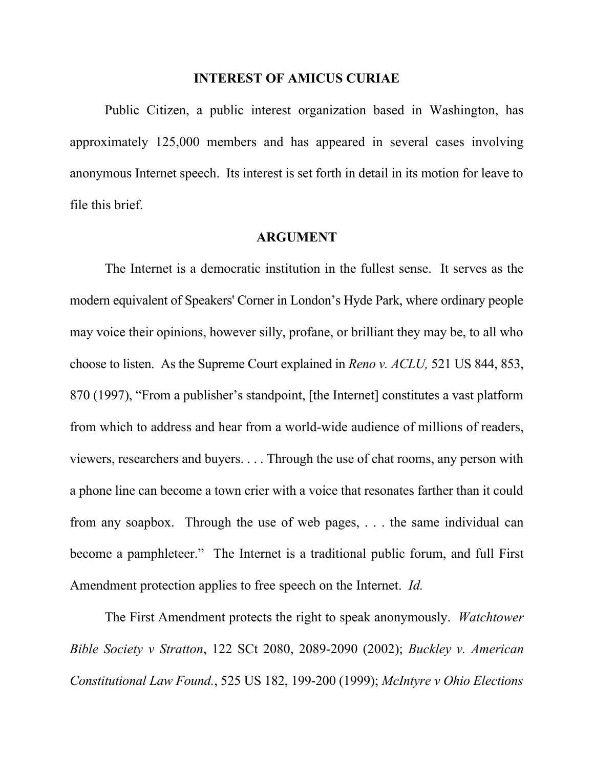## **INTEREST OF AMICUS CURIAE**

Public Citizen, a public interest organization based in Washington, has approximately 125,000 members and has appeared in several cases involving anonymous Internet speech. Its interest is set forth in detail in its motion for leave to file this brief.

## **ARGUMENT**

The Internet is a democratic institution in the fullest sense. It serves as the modern equivalent of Speakers' Corner in London's Hyde Park, where ordinary people may voice their opinions, however silly, profane, or brilliant they may be, to all who choose to listen. As the Supreme Court explained in *Reno v. ACLU,* 521 US 844, 853, 870 (1997), "From a publisher's standpoint, [the Internet] constitutes a vast platform from which to address and hear from a world-wide audience of millions of readers, viewers, researchers and buyers. . . . Through the use of chat rooms, any person with a phone line can become a town crier with a voice that resonates farther than it could from any soapbox. Through the use of web pages, . . . the same individual can become a pamphleteer." The Internet is a traditional public forum, and full First Amendment protection applies to free speech on the Internet. *Id.*

The First Amendment protects the right to speak anonymously. *Watchtower Bible Society v Stratton*, 122 SCt 2080, 2089-2090 (2002); *Buckley v. American Constitutional Law Found.*, 525 US 182, 199-200 (1999); *McIntyre v Ohio Elections*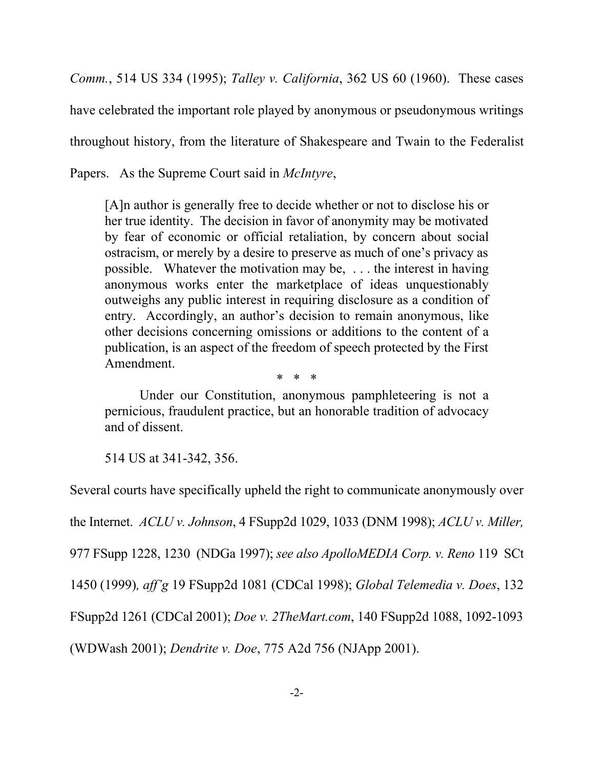*Comm.*, 514 US 334 (1995); *Talley v. California*, 362 US 60 (1960). These cases have celebrated the important role played by anonymous or pseudonymous writings throughout history, from the literature of Shakespeare and Twain to the Federalist Papers. As the Supreme Court said in *McIntyre*,

[A]n author is generally free to decide whether or not to disclose his or her true identity. The decision in favor of anonymity may be motivated by fear of economic or official retaliation, by concern about social ostracism, or merely by a desire to preserve as much of one's privacy as possible. Whatever the motivation may be, . . . the interest in having anonymous works enter the marketplace of ideas unquestionably outweighs any public interest in requiring disclosure as a condition of entry. Accordingly, an author's decision to remain anonymous, like other decisions concerning omissions or additions to the content of a publication, is an aspect of the freedom of speech protected by the First Amendment.

Under our Constitution, anonymous pamphleteering is not a pernicious, fraudulent practice, but an honorable tradition of advocacy and of dissent.

\* \* \*

514 US at 341-342, 356.

Several courts have specifically upheld the right to communicate anonymously over the Internet. *ACLU v. Johnson*, 4 FSupp2d 1029, 1033 (DNM 1998); *ACLU v. Miller,* 977 FSupp 1228, 1230 (NDGa 1997); *see also ApolloMEDIA Corp. v. Reno* 119 SCt 1450 (1999)*, aff'g* 19 FSupp2d 1081 (CDCal 1998); *Global Telemedia v. Does*, 132 FSupp2d 1261 (CDCal 2001); *Doe v. 2TheMart.com*, 140 FSupp2d 1088, 1092-1093 (WDWash 2001); *Dendrite v. Doe*, 775 A2d 756 (NJApp 2001).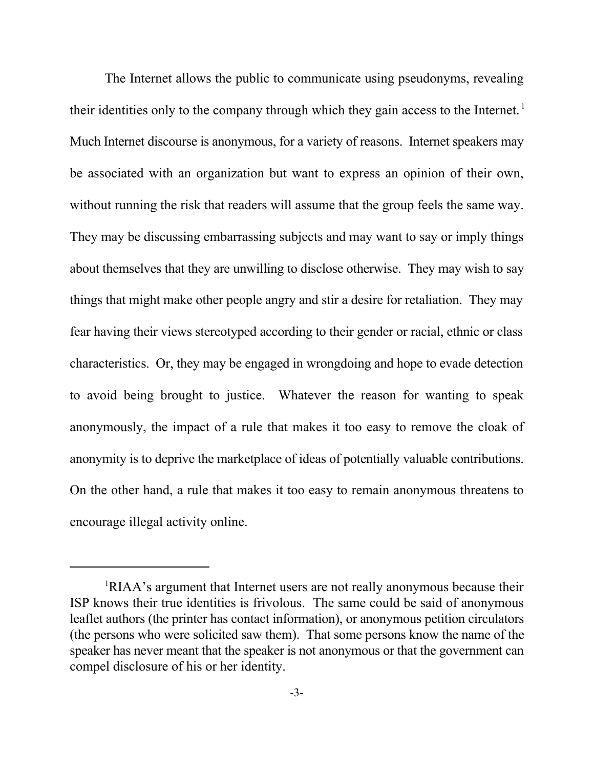The Internet allows the public to communicate using pseudonyms, revealing their identities only to the company through which they gain access to the Internet.<sup>1</sup> Much Internet discourse is anonymous, for a variety of reasons. Internet speakers may be associated with an organization but want to express an opinion of their own, without running the risk that readers will assume that the group feels the same way. They may be discussing embarrassing subjects and may want to say or imply things about themselves that they are unwilling to disclose otherwise. They may wish to say things that might make other people angry and stir a desire for retaliation. They may fear having their views stereotyped according to their gender or racial, ethnic or class characteristics. Or, they may be engaged in wrongdoing and hope to evade detection to avoid being brought to justice. Whatever the reason for wanting to speak anonymously, the impact of a rule that makes it too easy to remove the cloak of anonymity is to deprive the marketplace of ideas of potentially valuable contributions. On the other hand, a rule that makes it too easy to remain anonymous threatens to encourage illegal activity online.

<sup>&</sup>lt;sup>1</sup>RIAA's argument that Internet users are not really anonymous because their ISP knows their true identities is frivolous. The same could be said of anonymous leaflet authors (the printer has contact information), or anonymous petition circulators (the persons who were solicited saw them). That some persons know the name of the speaker has never meant that the speaker is not anonymous or that the government can compel disclosure of his or her identity.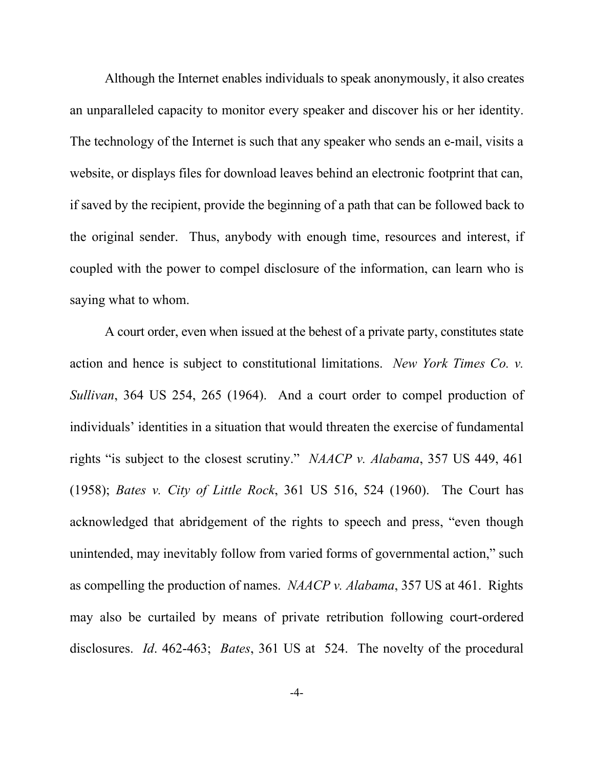Although the Internet enables individuals to speak anonymously, it also creates an unparalleled capacity to monitor every speaker and discover his or her identity. The technology of the Internet is such that any speaker who sends an e-mail, visits a website, or displays files for download leaves behind an electronic footprint that can, if saved by the recipient, provide the beginning of a path that can be followed back to the original sender. Thus, anybody with enough time, resources and interest, if coupled with the power to compel disclosure of the information, can learn who is saying what to whom.

A court order, even when issued at the behest of a private party, constitutes state action and hence is subject to constitutional limitations. *New York Times Co. v. Sullivan*, 364 US 254, 265 (1964). And a court order to compel production of individuals' identities in a situation that would threaten the exercise of fundamental rights "is subject to the closest scrutiny." *NAACP v. Alabama*, 357 US 449, 461 (1958); *Bates v. City of Little Rock*, 361 US 516, 524 (1960). The Court has acknowledged that abridgement of the rights to speech and press, "even though unintended, may inevitably follow from varied forms of governmental action," such as compelling the production of names. *NAACP v. Alabama*, 357 US at 461. Rights may also be curtailed by means of private retribution following court-ordered disclosures. *Id*. 462-463; *Bates*, 361 US at 524. The novelty of the procedural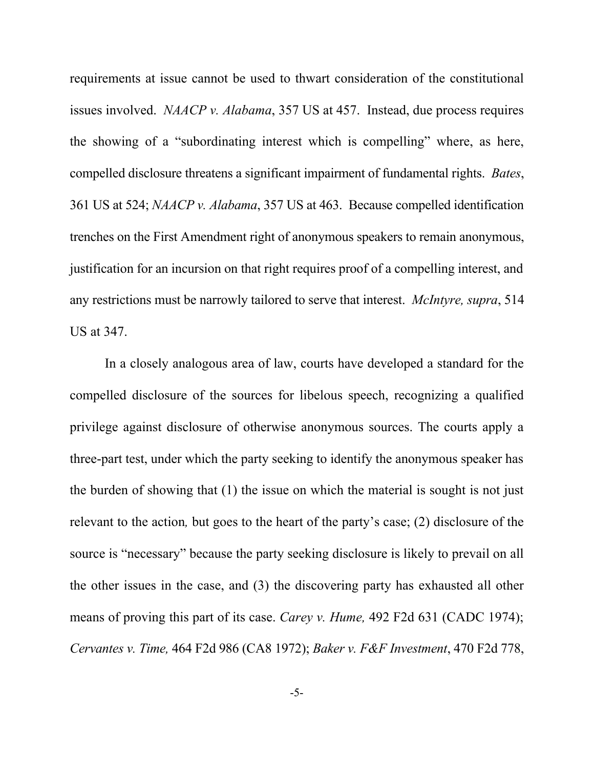requirements at issue cannot be used to thwart consideration of the constitutional issues involved. *NAACP v. Alabama*, 357 US at 457. Instead, due process requires the showing of a "subordinating interest which is compelling" where, as here, compelled disclosure threatens a significant impairment of fundamental rights. *Bates*, 361 US at 524; *NAACP v. Alabama*, 357 US at 463. Because compelled identification trenches on the First Amendment right of anonymous speakers to remain anonymous, justification for an incursion on that right requires proof of a compelling interest, and any restrictions must be narrowly tailored to serve that interest. *McIntyre, supra*, 514 US at 347.

In a closely analogous area of law, courts have developed a standard for the compelled disclosure of the sources for libelous speech, recognizing a qualified privilege against disclosure of otherwise anonymous sources. The courts apply a three-part test, under which the party seeking to identify the anonymous speaker has the burden of showing that (1) the issue on which the material is sought is not just relevant to the action*,* but goes to the heart of the party's case; (2) disclosure of the source is "necessary" because the party seeking disclosure is likely to prevail on all the other issues in the case, and (3) the discovering party has exhausted all other means of proving this part of its case. *Carey v. Hume,* 492 F2d 631 (CADC 1974); *Cervantes v. Time,* 464 F2d 986 (CA8 1972); *Baker v. F&F Investment*, 470 F2d 778,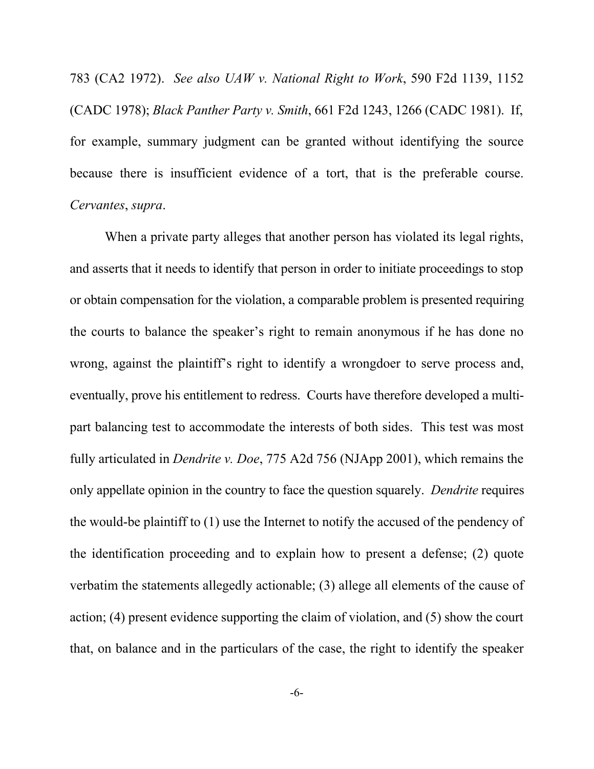783 (CA2 1972). *See also UAW v. National Right to Work*, 590 F2d 1139, 1152 (CADC 1978); *Black Panther Party v. Smith*, 661 F2d 1243, 1266 (CADC 1981). If, for example, summary judgment can be granted without identifying the source because there is insufficient evidence of a tort, that is the preferable course. *Cervantes*, *supra*.

When a private party alleges that another person has violated its legal rights, and asserts that it needs to identify that person in order to initiate proceedings to stop or obtain compensation for the violation, a comparable problem is presented requiring the courts to balance the speaker's right to remain anonymous if he has done no wrong, against the plaintiff's right to identify a wrongdoer to serve process and, eventually, prove his entitlement to redress. Courts have therefore developed a multipart balancing test to accommodate the interests of both sides. This test was most fully articulated in *Dendrite v. Doe*, 775 A2d 756 (NJApp 2001), which remains the only appellate opinion in the country to face the question squarely. *Dendrite* requires the would-be plaintiff to (1) use the Internet to notify the accused of the pendency of the identification proceeding and to explain how to present a defense; (2) quote verbatim the statements allegedly actionable; (3) allege all elements of the cause of action; (4) present evidence supporting the claim of violation, and (5) show the court that, on balance and in the particulars of the case, the right to identify the speaker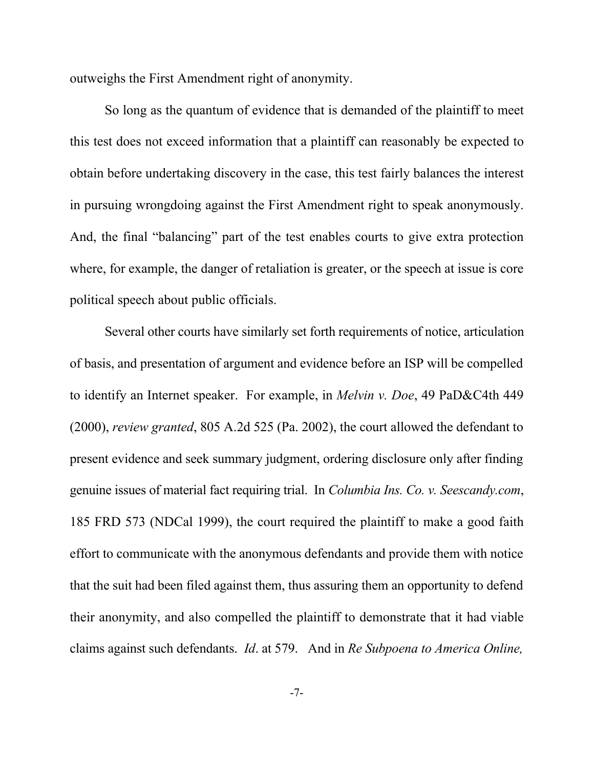outweighs the First Amendment right of anonymity.

So long as the quantum of evidence that is demanded of the plaintiff to meet this test does not exceed information that a plaintiff can reasonably be expected to obtain before undertaking discovery in the case, this test fairly balances the interest in pursuing wrongdoing against the First Amendment right to speak anonymously. And, the final "balancing" part of the test enables courts to give extra protection where, for example, the danger of retaliation is greater, or the speech at issue is core political speech about public officials.

Several other courts have similarly set forth requirements of notice, articulation of basis, and presentation of argument and evidence before an ISP will be compelled to identify an Internet speaker. For example, in *Melvin v. Doe*, 49 PaD&C4th 449 (2000), *review granted*, 805 A.2d 525 (Pa. 2002), the court allowed the defendant to present evidence and seek summary judgment, ordering disclosure only after finding genuine issues of material fact requiring trial. In *Columbia Ins. Co. v. Seescandy.com*, 185 FRD 573 (NDCal 1999), the court required the plaintiff to make a good faith effort to communicate with the anonymous defendants and provide them with notice that the suit had been filed against them, thus assuring them an opportunity to defend their anonymity, and also compelled the plaintiff to demonstrate that it had viable claims against such defendants. *Id*. at 579. And in *Re Subpoena to America Online,*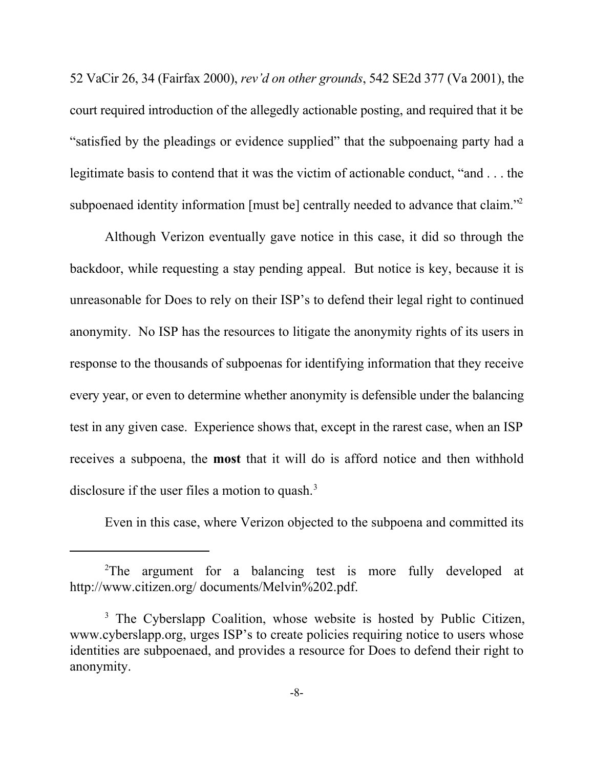52 VaCir 26, 34 (Fairfax 2000), *rev'd on other grounds*, 542 SE2d 377 (Va 2001), the court required introduction of the allegedly actionable posting, and required that it be "satisfied by the pleadings or evidence supplied" that the subpoenaing party had a legitimate basis to contend that it was the victim of actionable conduct, "and . . . the subpoenaed identity information [must be] centrally needed to advance that claim.<sup>"2</sup>

Although Verizon eventually gave notice in this case, it did so through the backdoor, while requesting a stay pending appeal. But notice is key, because it is unreasonable for Does to rely on their ISP's to defend their legal right to continued anonymity. No ISP has the resources to litigate the anonymity rights of its users in response to the thousands of subpoenas for identifying information that they receive every year, or even to determine whether anonymity is defensible under the balancing test in any given case. Experience shows that, except in the rarest case, when an ISP receives a subpoena, the **most** that it will do is afford notice and then withhold disclosure if the user files a motion to quash. $3$ 

Even in this case, where Verizon objected to the subpoena and committed its

<sup>&</sup>lt;sup>2</sup>The argument for a balancing test is more fully developed at http://www.citizen.org/ documents/Melvin%202.pdf.

<sup>&</sup>lt;sup>3</sup> The Cyberslapp Coalition, whose website is hosted by Public Citizen, www.cyberslapp.org, urges ISP's to create policies requiring notice to users whose identities are subpoenaed, and provides a resource for Does to defend their right to anonymity.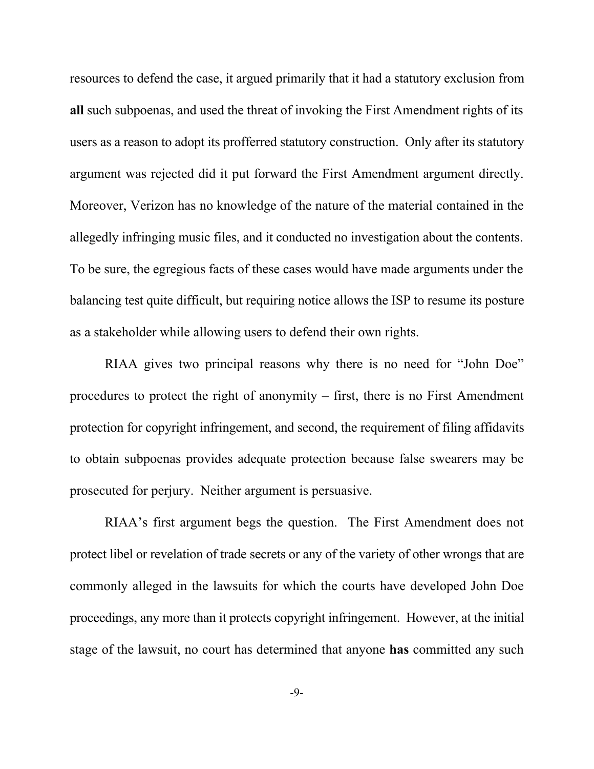resources to defend the case, it argued primarily that it had a statutory exclusion from **all** such subpoenas, and used the threat of invoking the First Amendment rights of its users as a reason to adopt its profferred statutory construction. Only after its statutory argument was rejected did it put forward the First Amendment argument directly. Moreover, Verizon has no knowledge of the nature of the material contained in the allegedly infringing music files, and it conducted no investigation about the contents. To be sure, the egregious facts of these cases would have made arguments under the balancing test quite difficult, but requiring notice allows the ISP to resume its posture as a stakeholder while allowing users to defend their own rights.

RIAA gives two principal reasons why there is no need for "John Doe" procedures to protect the right of anonymity – first, there is no First Amendment protection for copyright infringement, and second, the requirement of filing affidavits to obtain subpoenas provides adequate protection because false swearers may be prosecuted for perjury. Neither argument is persuasive.

RIAA's first argument begs the question. The First Amendment does not protect libel or revelation of trade secrets or any of the variety of other wrongs that are commonly alleged in the lawsuits for which the courts have developed John Doe proceedings, any more than it protects copyright infringement. However, at the initial stage of the lawsuit, no court has determined that anyone **has** committed any such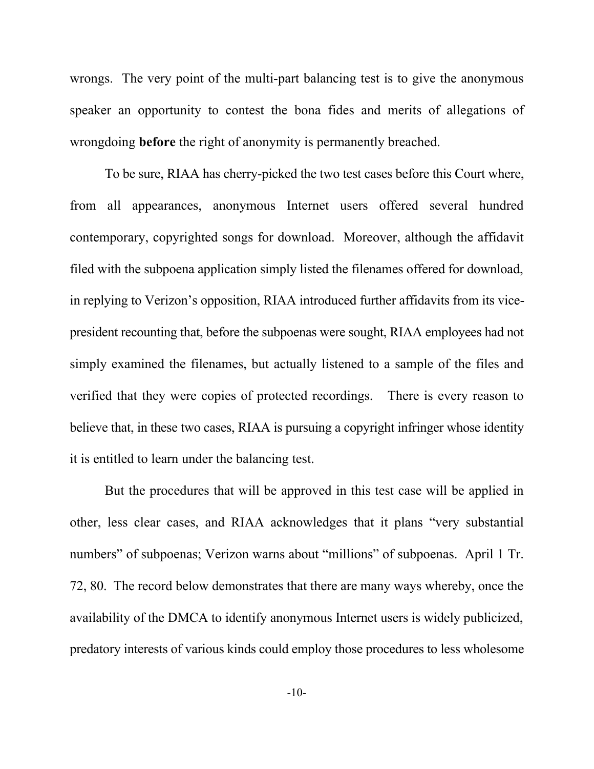wrongs. The very point of the multi-part balancing test is to give the anonymous speaker an opportunity to contest the bona fides and merits of allegations of wrongdoing **before** the right of anonymity is permanently breached.

To be sure, RIAA has cherry-picked the two test cases before this Court where, from all appearances, anonymous Internet users offered several hundred contemporary, copyrighted songs for download. Moreover, although the affidavit filed with the subpoena application simply listed the filenames offered for download, in replying to Verizon's opposition, RIAA introduced further affidavits from its vicepresident recounting that, before the subpoenas were sought, RIAA employees had not simply examined the filenames, but actually listened to a sample of the files and verified that they were copies of protected recordings. There is every reason to believe that, in these two cases, RIAA is pursuing a copyright infringer whose identity it is entitled to learn under the balancing test.

But the procedures that will be approved in this test case will be applied in other, less clear cases, and RIAA acknowledges that it plans "very substantial numbers" of subpoenas; Verizon warns about "millions" of subpoenas. April 1 Tr. 72, 80. The record below demonstrates that there are many ways whereby, once the availability of the DMCA to identify anonymous Internet users is widely publicized, predatory interests of various kinds could employ those procedures to less wholesome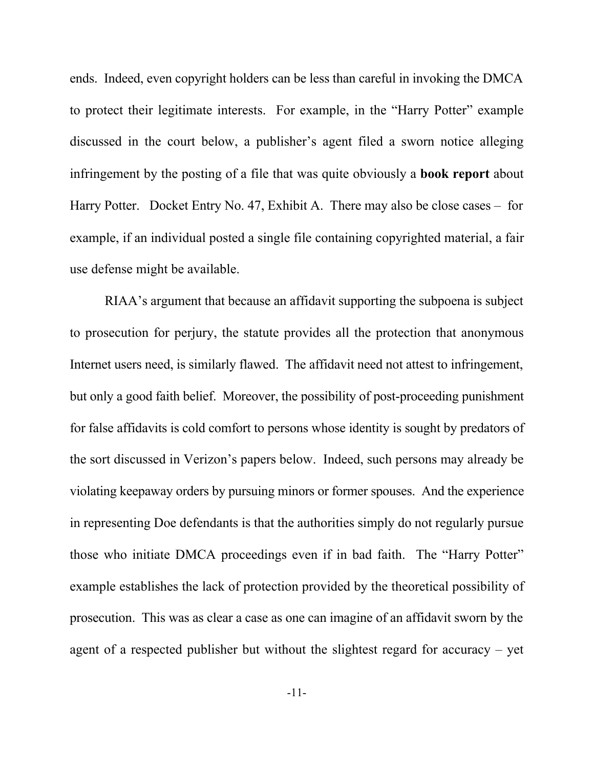ends. Indeed, even copyright holders can be less than careful in invoking the DMCA to protect their legitimate interests. For example, in the "Harry Potter" example discussed in the court below, a publisher's agent filed a sworn notice alleging infringement by the posting of a file that was quite obviously a **book report** about Harry Potter. Docket Entry No. 47, Exhibit A. There may also be close cases – for example, if an individual posted a single file containing copyrighted material, a fair use defense might be available.

RIAA's argument that because an affidavit supporting the subpoena is subject to prosecution for perjury, the statute provides all the protection that anonymous Internet users need, is similarly flawed. The affidavit need not attest to infringement, but only a good faith belief. Moreover, the possibility of post-proceeding punishment for false affidavits is cold comfort to persons whose identity is sought by predators of the sort discussed in Verizon's papers below. Indeed, such persons may already be violating keepaway orders by pursuing minors or former spouses. And the experience in representing Doe defendants is that the authorities simply do not regularly pursue those who initiate DMCA proceedings even if in bad faith. The "Harry Potter" example establishes the lack of protection provided by the theoretical possibility of prosecution. This was as clear a case as one can imagine of an affidavit sworn by the agent of a respected publisher but without the slightest regard for accuracy – yet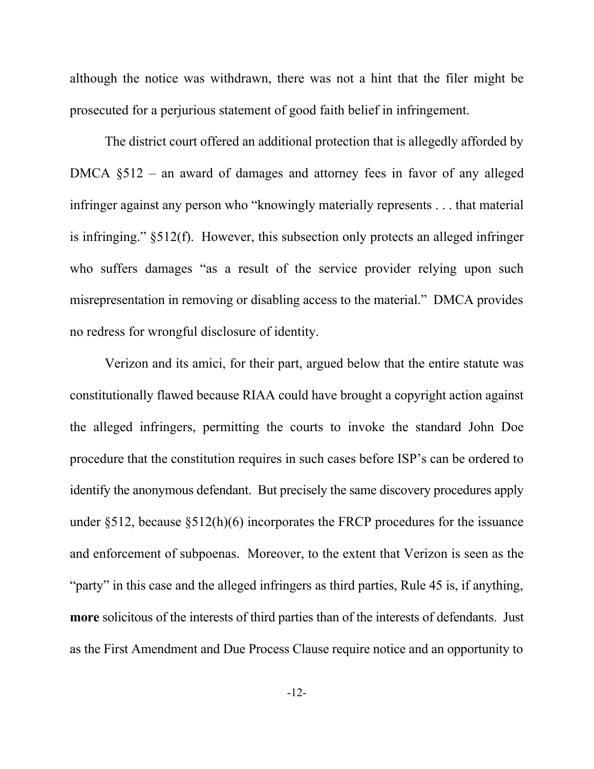although the notice was withdrawn, there was not a hint that the filer might be prosecuted for a perjurious statement of good faith belief in infringement.

The district court offered an additional protection that is allegedly afforded by DMCA §512 – an award of damages and attorney fees in favor of any alleged infringer against any person who "knowingly materially represents . . . that material is infringing." §512(f). However, this subsection only protects an alleged infringer who suffers damages "as a result of the service provider relying upon such misrepresentation in removing or disabling access to the material." DMCA provides no redress for wrongful disclosure of identity.

Verizon and its amici, for their part, argued below that the entire statute was constitutionally flawed because RIAA could have brought a copyright action against the alleged infringers, permitting the courts to invoke the standard John Doe procedure that the constitution requires in such cases before ISP's can be ordered to identify the anonymous defendant. But precisely the same discovery procedures apply under §512, because §512(h)(6) incorporates the FRCP procedures for the issuance and enforcement of subpoenas. Moreover, to the extent that Verizon is seen as the "party" in this case and the alleged infringers as third parties, Rule 45 is, if anything, **more** solicitous of the interests of third parties than of the interests of defendants. Just as the First Amendment and Due Process Clause require notice and an opportunity to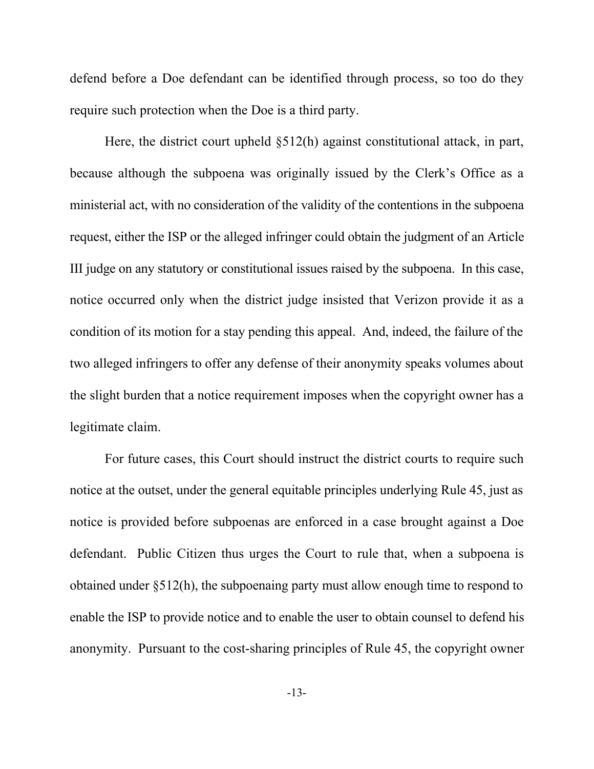defend before a Doe defendant can be identified through process, so too do they require such protection when the Doe is a third party.

Here, the district court upheld §512(h) against constitutional attack, in part, because although the subpoena was originally issued by the Clerk's Office as a ministerial act, with no consideration of the validity of the contentions in the subpoena request, either the ISP or the alleged infringer could obtain the judgment of an Article III judge on any statutory or constitutional issues raised by the subpoena. In this case, notice occurred only when the district judge insisted that Verizon provide it as a condition of its motion for a stay pending this appeal. And, indeed, the failure of the two alleged infringers to offer any defense of their anonymity speaks volumes about the slight burden that a notice requirement imposes when the copyright owner has a legitimate claim.

For future cases, this Court should instruct the district courts to require such notice at the outset, under the general equitable principles underlying Rule 45, just as notice is provided before subpoenas are enforced in a case brought against a Doe defendant. Public Citizen thus urges the Court to rule that, when a subpoena is obtained under §512(h), the subpoenaing party must allow enough time to respond to enable the ISP to provide notice and to enable the user to obtain counsel to defend his anonymity. Pursuant to the cost-sharing principles of Rule 45, the copyright owner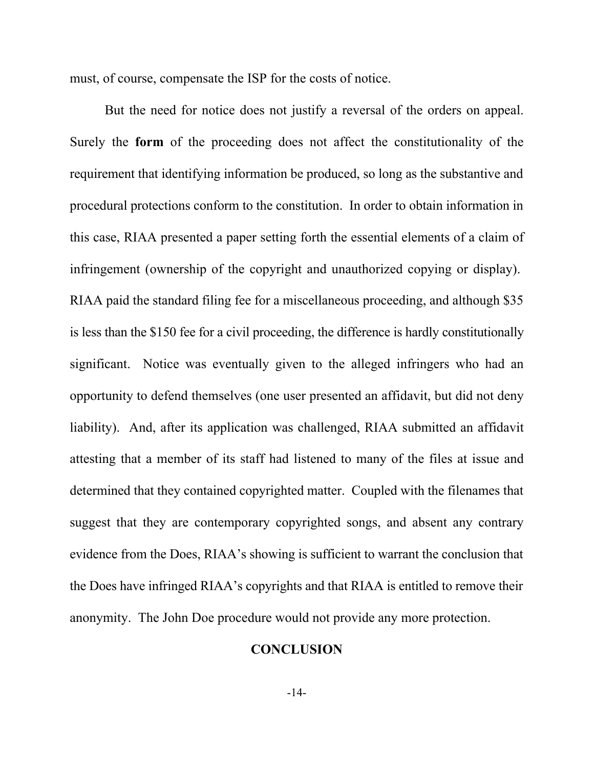must, of course, compensate the ISP for the costs of notice.

But the need for notice does not justify a reversal of the orders on appeal. Surely the **form** of the proceeding does not affect the constitutionality of the requirement that identifying information be produced, so long as the substantive and procedural protections conform to the constitution. In order to obtain information in this case, RIAA presented a paper setting forth the essential elements of a claim of infringement (ownership of the copyright and unauthorized copying or display). RIAA paid the standard filing fee for a miscellaneous proceeding, and although \$35 is less than the \$150 fee for a civil proceeding, the difference is hardly constitutionally significant. Notice was eventually given to the alleged infringers who had an opportunity to defend themselves (one user presented an affidavit, but did not deny liability). And, after its application was challenged, RIAA submitted an affidavit attesting that a member of its staff had listened to many of the files at issue and determined that they contained copyrighted matter. Coupled with the filenames that suggest that they are contemporary copyrighted songs, and absent any contrary evidence from the Does, RIAA's showing is sufficient to warrant the conclusion that the Does have infringed RIAA's copyrights and that RIAA is entitled to remove their anonymity. The John Doe procedure would not provide any more protection.

## **CONCLUSION**